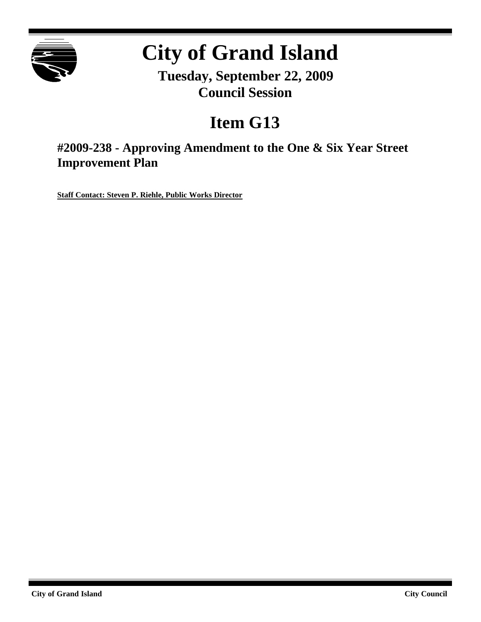

# **City of Grand Island**

**Tuesday, September 22, 2009 Council Session**

## **Item G13**

**#2009-238 - Approving Amendment to the One & Six Year Street Improvement Plan**

**Staff Contact: Steven P. Riehle, Public Works Director**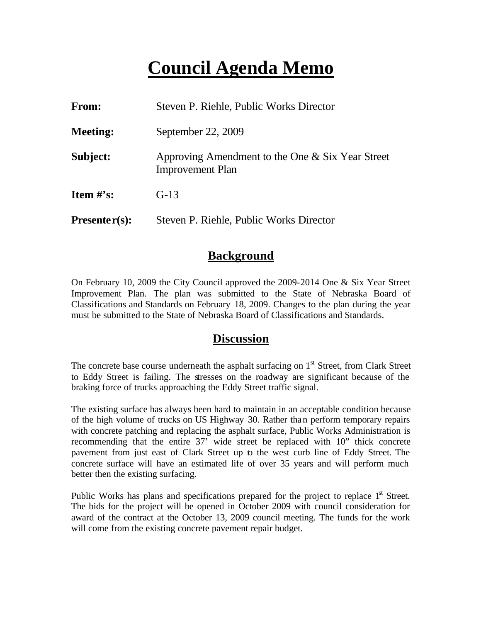### **Council Agenda Memo**

| <b>From:</b>    | Steven P. Riehle, Public Works Director                                     |  |  |  |  |  |  |  |  |
|-----------------|-----------------------------------------------------------------------------|--|--|--|--|--|--|--|--|
| <b>Meeting:</b> | September 22, 2009                                                          |  |  |  |  |  |  |  |  |
| Subject:        | Approving Amendment to the One & Six Year Street<br><b>Improvement Plan</b> |  |  |  |  |  |  |  |  |
| Item $\#$ 's:   | $G-13$                                                                      |  |  |  |  |  |  |  |  |
| $Presenter(s):$ | Steven P. Riehle, Public Works Director                                     |  |  |  |  |  |  |  |  |

#### **Background**

On February 10, 2009 the City Council approved the 2009-2014 One & Six Year Street Improvement Plan. The plan was submitted to the State of Nebraska Board of Classifications and Standards on February 18, 2009. Changes to the plan during the year must be submitted to the State of Nebraska Board of Classifications and Standards.

#### **Discussion**

The concrete base course underneath the asphalt surfacing on 1<sup>st</sup> Street, from Clark Street to Eddy Street is failing. The stresses on the roadway are significant because of the braking force of trucks approaching the Eddy Street traffic signal.

The existing surface has always been hard to maintain in an acceptable condition because of the high volume of trucks on US Highway 30. Rather than perform temporary repairs with concrete patching and replacing the asphalt surface, Public Works Administration is recommending that the entire 37' wide street be replaced with 10" thick concrete pavement from just east of Clark Street up to the west curb line of Eddy Street. The concrete surface will have an estimated life of over 35 years and will perform much better then the existing surfacing.

Public Works has plans and specifications prepared for the project to replace 1<sup>st</sup> Street. The bids for the project will be opened in October 2009 with council consideration for award of the contract at the October 13, 2009 council meeting. The funds for the work will come from the existing concrete pavement repair budget.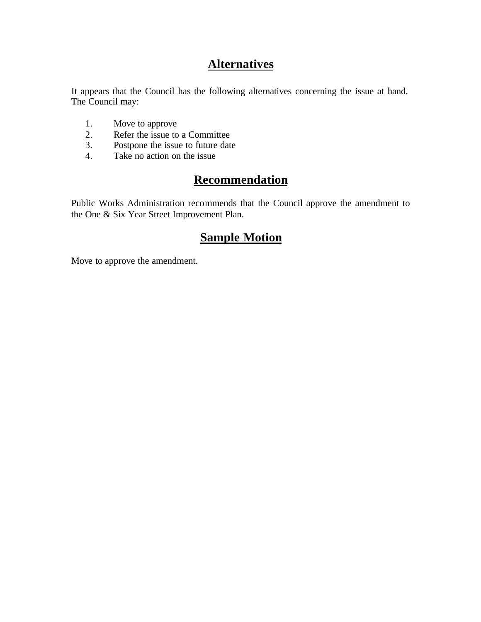#### **Alternatives**

It appears that the Council has the following alternatives concerning the issue at hand. The Council may:

- 1. Move to approve
- 2. Refer the issue to a Committee<br>3. Postpone the issue to future date
- Postpone the issue to future date
- 4. Take no action on the issue

#### **Recommendation**

Public Works Administration recommends that the Council approve the amendment to the One & Six Year Street Improvement Plan.

#### **Sample Motion**

Move to approve the amendment.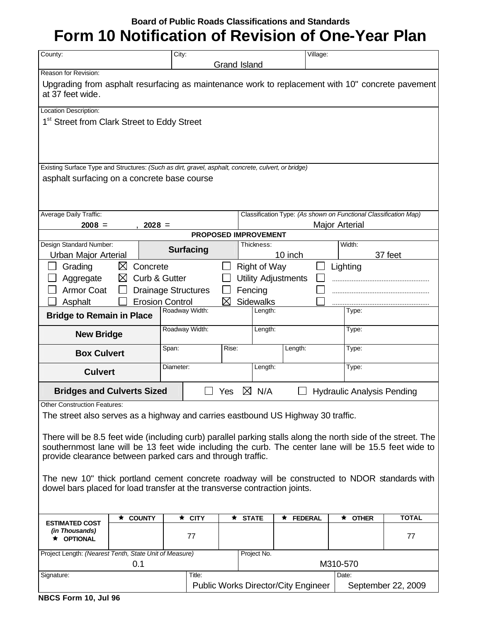### **Board of Public Roads Classifications and Standards Form 10 Notification of Revision of One-Year Plan**

| County:                                                                                                                                                                                                                                                                            |                                                                                      |                               | City:          | Village:         |                      |                                                                  |                       |                      |       |  |               |                                   |              |  |
|------------------------------------------------------------------------------------------------------------------------------------------------------------------------------------------------------------------------------------------------------------------------------------|--------------------------------------------------------------------------------------|-------------------------------|----------------|------------------|----------------------|------------------------------------------------------------------|-----------------------|----------------------|-------|--|---------------|-----------------------------------|--------------|--|
| <b>Grand Island</b><br>Reason for Revision:                                                                                                                                                                                                                                        |                                                                                      |                               |                |                  |                      |                                                                  |                       |                      |       |  |               |                                   |              |  |
| Upgrading from asphalt resurfacing as maintenance work to replacement with 10" concrete pavement<br>at 37 feet wide.                                                                                                                                                               |                                                                                      |                               |                |                  |                      |                                                                  |                       |                      |       |  |               |                                   |              |  |
| Location Description:                                                                                                                                                                                                                                                              |                                                                                      |                               |                |                  |                      |                                                                  |                       |                      |       |  |               |                                   |              |  |
| 1 <sup>st</sup> Street from Clark Street to Eddy Street                                                                                                                                                                                                                            |                                                                                      |                               |                |                  |                      |                                                                  |                       |                      |       |  |               |                                   |              |  |
|                                                                                                                                                                                                                                                                                    |                                                                                      |                               |                |                  |                      |                                                                  |                       |                      |       |  |               |                                   |              |  |
| Existing Surface Type and Structures: (Such as dirt, gravel, asphalt, concrete, culvert, or bridge)                                                                                                                                                                                |                                                                                      |                               |                |                  |                      |                                                                  |                       |                      |       |  |               |                                   |              |  |
| asphalt surfacing on a concrete base course                                                                                                                                                                                                                                        |                                                                                      |                               |                |                  |                      |                                                                  |                       |                      |       |  |               |                                   |              |  |
| Average Daily Traffic:                                                                                                                                                                                                                                                             |                                                                                      |                               |                |                  |                      | Classification Type: (As shown on Functional Classification Map) |                       |                      |       |  |               |                                   |              |  |
| <b>Major Arterial</b><br>$2028 =$<br>$2008 =$<br><b>PROPOSED IMPROVEMENT</b>                                                                                                                                                                                                       |                                                                                      |                               |                |                  |                      |                                                                  |                       |                      |       |  |               |                                   |              |  |
| Design Standard Number:                                                                                                                                                                                                                                                            |                                                                                      |                               |                |                  |                      |                                                                  |                       |                      |       |  |               |                                   |              |  |
|                                                                                                                                                                                                                                                                                    | Urban Major Arterial                                                                 |                               |                | <b>Surfacing</b> |                      |                                                                  | Thickness:<br>10 inch |                      |       |  |               | Width:<br>37 feet                 |              |  |
| Grading                                                                                                                                                                                                                                                                            |                                                                                      |                               |                |                  |                      |                                                                  |                       |                      |       |  |               |                                   |              |  |
| Aggregate                                                                                                                                                                                                                                                                          | ⊠<br><b>Right of Way</b><br>Lighting<br>Concrete                                     |                               |                |                  |                      |                                                                  |                       |                      |       |  |               |                                   |              |  |
|                                                                                                                                                                                                                                                                                    | Curb & Gutter<br><b>Utility Adjustments</b><br>$\boxtimes$                           |                               |                |                  |                      |                                                                  |                       |                      |       |  |               |                                   |              |  |
|                                                                                                                                                                                                                                                                                    | <b>Armor Coat</b><br><b>Drainage Structures</b><br>Fencing<br><b>Erosion Control</b> |                               |                |                  |                      |                                                                  |                       |                      |       |  |               |                                   |              |  |
| Asphalt                                                                                                                                                                                                                                                                            |                                                                                      | $\boxtimes$<br>Roadway Width: |                |                  | Sidewalks<br>Length: |                                                                  |                       |                      | Type: |  |               |                                   |              |  |
| <b>Bridge to Remain in Place</b>                                                                                                                                                                                                                                                   |                                                                                      |                               |                |                  |                      |                                                                  |                       |                      |       |  |               |                                   |              |  |
| <b>New Bridge</b>                                                                                                                                                                                                                                                                  |                                                                                      |                               | Roadway Width: |                  |                      |                                                                  | Length:               |                      |       |  |               | Type:                             |              |  |
| <b>Box Culvert</b>                                                                                                                                                                                                                                                                 |                                                                                      |                               | Rise:<br>Span: |                  |                      |                                                                  | Length:               |                      |       |  | Type:         |                                   |              |  |
| <b>Culvert</b>                                                                                                                                                                                                                                                                     |                                                                                      |                               | Diameter:      |                  |                      |                                                                  | Length:               |                      |       |  |               | Type:                             |              |  |
| <b>Bridges and Culverts Sized</b>                                                                                                                                                                                                                                                  |                                                                                      |                               |                |                  | Yes                  |                                                                  | $\boxtimes$ N/A       |                      |       |  |               | <b>Hydraulic Analysis Pending</b> |              |  |
| <b>Other Construction Features:</b>                                                                                                                                                                                                                                                |                                                                                      |                               |                |                  |                      |                                                                  |                       |                      |       |  |               |                                   |              |  |
| The street also serves as a highway and carries eastbound US Highway 30 traffic.                                                                                                                                                                                                   |                                                                                      |                               |                |                  |                      |                                                                  |                       |                      |       |  |               |                                   |              |  |
| There will be 8.5 feet wide (including curb) parallel parking stalls along the north side of the street. The<br>southernmost lane will be 13 feet wide including the curb. The center lane will be 15.5 feet wide to<br>provide clearance between parked cars and through traffic. |                                                                                      |                               |                |                  |                      |                                                                  |                       |                      |       |  |               |                                   |              |  |
| The new 10" thick portland cement concrete roadway will be constructed to NDOR standards with<br>dowel bars placed for load transfer at the transverse contraction joints.                                                                                                         |                                                                                      |                               |                |                  |                      |                                                                  |                       |                      |       |  |               |                                   |              |  |
|                                                                                                                                                                                                                                                                                    | ★                                                                                    | <b>COUNTY</b>                 |                | $\star$ CITY     |                      | $\star$ STATE                                                    |                       | <b>FEDERAL</b><br>★. |       |  | $\star$ OTHER |                                   | <b>TOTAL</b> |  |
| <b>ESTIMATED COST</b><br>(in Thousands)<br>★ OPTIONAL                                                                                                                                                                                                                              |                                                                                      |                               | 77             |                  |                      |                                                                  |                       |                      |       |  |               |                                   | 77           |  |
|                                                                                                                                                                                                                                                                                    | Project Length: (Nearest Tenth, State Unit of Measure)                               |                               |                |                  |                      |                                                                  | Project No.           |                      |       |  |               |                                   |              |  |
| M310-570<br>0.1                                                                                                                                                                                                                                                                    |                                                                                      |                               |                |                  |                      |                                                                  |                       |                      |       |  |               |                                   |              |  |
| Signature:                                                                                                                                                                                                                                                                         | Title:<br>Date:                                                                      |                               |                |                  |                      |                                                                  |                       |                      |       |  |               |                                   |              |  |
| <b>Public Works Director/City Engineer</b><br>September 22, 2009                                                                                                                                                                                                                   |                                                                                      |                               |                |                  |                      |                                                                  |                       |                      |       |  |               |                                   |              |  |